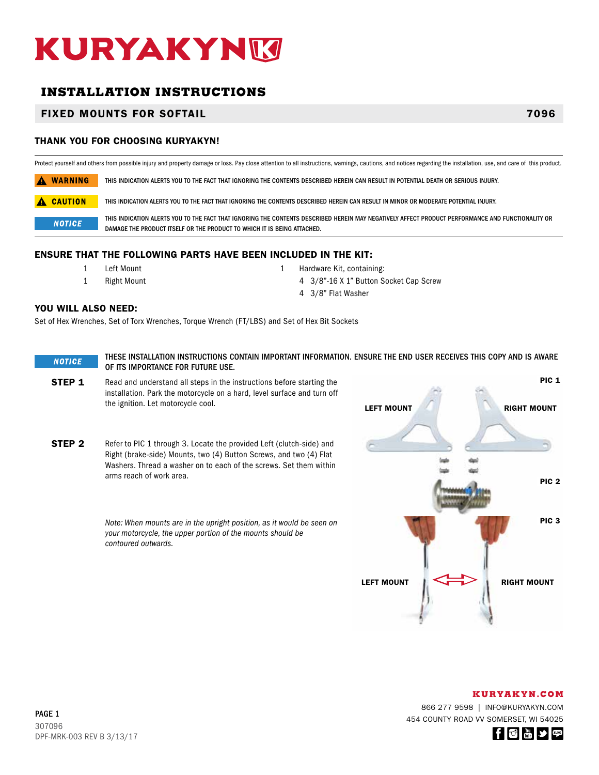# KURYAKYNM

# **INSTALLATION INSTRUCTIONS**

# FIXED MOUNTS FOR SOFTAIL 7096

## THANK YOU FOR CHOOSING KURYAKYN!

Protect yourself and others from possible injury and property damage or loss. Pay close attention to all instructions, warnings, cautions, and notices regarding the installation, use, and care of this product.

A WARNING THIS INDICATION ALERTS YOU TO THE FACT THAT IGNORING THE CONTENTS DESCRIBED HEREIN CAN RESULT IN POTENTIAL DEATH OR SERIOUS INJURY.

**A CAUTION** THIS INDICATION ALERTS YOU TO THE FACT THAT IGNORING THE CONTENTS DESCRIBED HEREIN CAN RESULT IN MINOR OR MODERATE POTENTIAL INJURY.

THIS INDICATION ALERTS YOU TO THE FACT THAT IGNORING THE CONTENTS DESCRIBED HEREIN MAY NEGATIVELY AFFECT PRODUCT PERFORMANCE AND FUNCTIONALITY OR **NOTICE** DAMAGE THE PRODUCT ITSELF OR THE PRODUCT TO WHICH IT IS BEING ATTACHED.

### ENSURE THAT THE FOLLOWING PARTS HAVE BEEN INCLUDED IN THE KIT:

- -
- 1 Left Mount 1 Hardware Kit, containing:
- 1 Right Mount 4 3/8"-16 X 1" Button Socket Cap Screw
	- 4 3/8" Flat Washer

### YOU WILL ALSO NEED:

Set of Hex Wrenches, Set of Torx Wrenches, Torque Wrench (FT/LBS) and Set of Hex Bit Sockets

THESE INSTALLATION INSTRUCTIONS CONTAIN IMPORTANT INFORMATION. ENSURE THE END USER RECEIVES THIS COPY AND IS AWARE **NOTICE** OF ITS IMPORTANCE FOR FUTURE USE.

**STEP 1** Read and understand all steps in the instructions before starting the installation. Park the motorcycle on a hard, level surface and turn off the ignition. Let motorcycle cool.

**STEP 2** Refer to PIC 1 through 3. Locate the provided Left (clutch-side) and Right (brake-side) Mounts, two (4) Button Screws, and two (4) Flat Washers. Thread a washer on to each of the screws. Set them within arms reach of work area.

> *Note: When mounts are in the upright position, as it would be seen on your motorcycle, the upper portion of the mounts should be contoured outwards.*



#### **KURYAKYN.COM**

866 277 9598 | INFO@KURYAKYN.COM 454 COUNTY ROAD VV SOMERSET, WI 54025

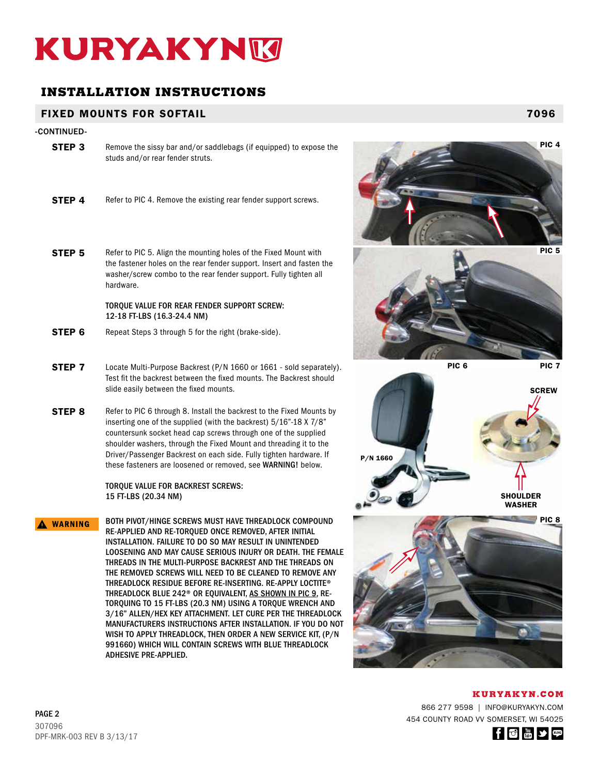# KURYAKYNM

# **INSTALLATION INSTRUCTIONS**

# FIXED MOUNTS FOR SOFTAIL 7096

## -CONTINUED-

- **STEP 3** Remove the sissy bar and/or saddlebags (if equipped) to expose the studs and/or rear fender struts.
- **STEP 4** Refer to PIC 4. Remove the existing rear fender support screws.
- **STEP 5** Refer to PIC 5. Align the mounting holes of the Fixed Mount with the fastener holes on the rear fender support. Insert and fasten the washer/screw combo to the rear fender support. Fully tighten all hardware.

## TORQUE VALUE FOR REAR FENDER SUPPORT SCREW: 12-18 FT-LBS (16.3-24.4 NM)

- **STEP 6** Repeat Steps 3 through 5 for the right (brake-side).
- **STEP 7** Locate Multi-Purpose Backrest (P/N 1660 or 1661 sold separately). Test fit the backrest between the fixed mounts. The Backrest should slide easily between the fixed mounts.
- **STEP 8** Refer to PIC 6 through 8. Install the backrest to the Fixed Mounts by inserting one of the supplied (with the backrest) 5/16"-18 X 7/8" countersunk socket head cap screws through one of the supplied shoulder washers, through the Fixed Mount and threading it to the Driver/Passenger Backrest on each side. Fully tighten hardware. If these fasteners are loosened or removed, see WARNING! below.

TORQUE VALUE FOR BACKREST SCREWS: 15 FT-LBS (20.34 NM)

BOTH PIVOT/HINGE SCREWS MUST HAVE THREADLOCK COMPOUND A WARNING RE-APPLIED AND RE-TORQUED ONCE REMOVED, AFTER INITIAL INSTALLATION. FAILURE TO DO SO MAY RESULT IN UNINTENDED LOOSENING AND MAY CAUSE SERIOUS INJURY OR DEATH. THE FEMALE THREADS IN THE MULTI-PURPOSE BACKREST AND THE THREADS ON THE REMOVED SCREWS WILL NEED TO BE CLEANED TO REMOVE ANY THREADLOCK RESIDUE BEFORE RE-INSERTING. RE-APPLY LOCTITE® THREADLOCK BLUE 242<sup>®</sup> OR EQUIVALENT, AS SHOWN IN PIC 9, RE-TORQUING TO 15 FT-LBS (20.3 NM) USING A TORQUE WRENCH AND 3/16" ALLEN/HEX KEY ATTACHMENT. LET CURE PER THE THREADLOCK MANUFACTURERS INSTRUCTIONS AFTER INSTALLATION. IF YOU DO NOT WISH TO APPLY THREADLOCK, THEN ORDER A NEW SERVICE KIT, (P/N 991660) WHICH WILL CONTAIN SCREWS WITH BLUE THREADLOCK ADHESIVE PRE-APPLIED.





PIC 6 PIC 7





**KURYAKYN.COM**

866 277 9598 | INFO@KURYAKYN.COM 454 COUNTY ROAD VV SOMERSET, WI 54025